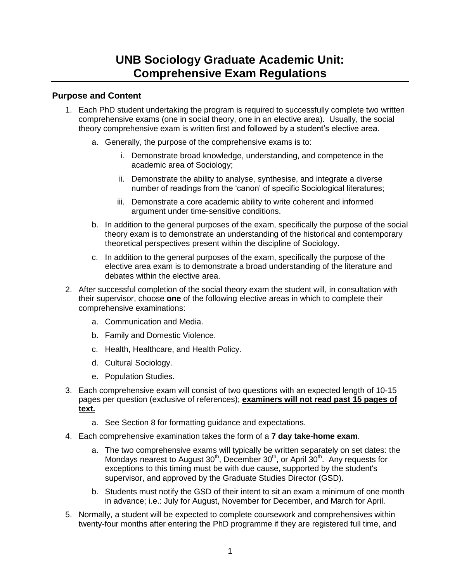## **Purpose and Content**

- 1. Each PhD student undertaking the program is required to successfully complete two written comprehensive exams (one in social theory, one in an elective area). Usually, the social theory comprehensive exam is written first and followed by a student"s elective area.
	- a. Generally, the purpose of the comprehensive exams is to:
		- i. Demonstrate broad knowledge, understanding, and competence in the academic area of Sociology;
		- ii. Demonstrate the ability to analyse, synthesise, and integrate a diverse number of readings from the "canon" of specific Sociological literatures;
		- iii. Demonstrate a core academic ability to write coherent and informed argument under time-sensitive conditions.
	- b. In addition to the general purposes of the exam, specifically the purpose of the social theory exam is to demonstrate an understanding of the historical and contemporary theoretical perspectives present within the discipline of Sociology.
	- c. In addition to the general purposes of the exam, specifically the purpose of the elective area exam is to demonstrate a broad understanding of the literature and debates within the elective area.
- 2. After successful completion of the social theory exam the student will, in consultation with their supervisor, choose **one** of the following elective areas in which to complete their comprehensive examinations:
	- a. Communication and Media.
	- b. Family and Domestic Violence.
	- c. Health, Healthcare, and Health Policy.
	- d. Cultural Sociology.
	- e. Population Studies.
- 3. Each comprehensive exam will consist of two questions with an expected length of 10-15 pages per question (exclusive of references); **examiners will not read past 15 pages of text.**
	- a. See Section 8 for formatting guidance and expectations.
- 4. Each comprehensive examination takes the form of a **7 day take-home exam**.
	- a. The two comprehensive exams will typically be written separately on set dates: the Mondays nearest to August  $30<sup>th</sup>$ , December  $30<sup>th</sup>$ , or April  $30<sup>th</sup>$ . Any requests for exceptions to this timing must be with due cause, supported by the student's supervisor, and approved by the Graduate Studies Director (GSD).
	- b. Students must notify the GSD of their intent to sit an exam a minimum of one month in advance; i.e.: July for August, November for December, and March for April.
- 5. Normally, a student will be expected to complete coursework and comprehensives within twenty-four months after entering the PhD programme if they are registered full time, and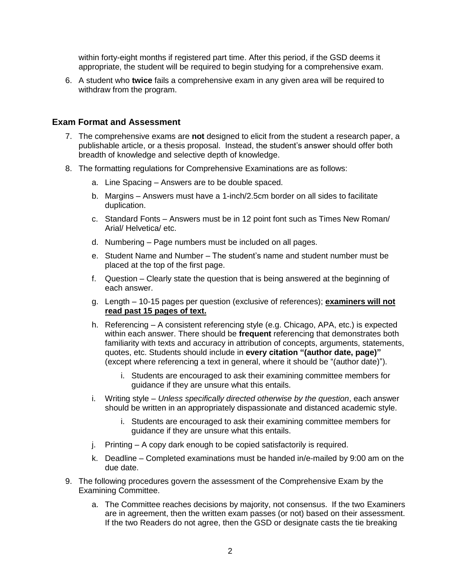within forty-eight months if registered part time. After this period, if the GSD deems it appropriate, the student will be required to begin studying for a comprehensive exam.

6. A student who **twice** fails a comprehensive exam in any given area will be required to withdraw from the program.

## **Exam Format and Assessment**

- 7. The comprehensive exams are **not** designed to elicit from the student a research paper, a publishable article, or a thesis proposal. Instead, the student"s answer should offer both breadth of knowledge and selective depth of knowledge.
- 8. The formatting regulations for Comprehensive Examinations are as follows:
	- a. Line Spacing Answers are to be double spaced.
	- b. Margins Answers must have a 1-inch/2.5cm border on all sides to facilitate duplication.
	- c. Standard Fonts Answers must be in 12 point font such as Times New Roman/ Arial/ Helvetica/ etc.
	- d. Numbering Page numbers must be included on all pages.
	- e. Student Name and Number The student"s name and student number must be placed at the top of the first page.
	- f. Question Clearly state the question that is being answered at the beginning of each answer.
	- g. Length 10-15 pages per question (exclusive of references); **examiners will not read past 15 pages of text.**
	- h. Referencing A consistent referencing style (e.g. Chicago, APA, etc.) is expected within each answer. There should be **frequent** referencing that demonstrates both familiarity with texts and accuracy in attribution of concepts, arguments, statements, quotes, etc. Students should include in **every citation "(author date, page)"** (except where referencing a text in general, where it should be "(author date)").
		- i. Students are encouraged to ask their examining committee members for guidance if they are unsure what this entails.
	- i. Writing style *Unless specifically directed otherwise by the question*, each answer should be written in an appropriately dispassionate and distanced academic style.
		- i. Students are encouraged to ask their examining committee members for guidance if they are unsure what this entails.
	- j. Printing A copy dark enough to be copied satisfactorily is required.
	- k. Deadline Completed examinations must be handed in/e-mailed by 9:00 am on the due date.
- 9. The following procedures govern the assessment of the Comprehensive Exam by the Examining Committee.
	- a. The Committee reaches decisions by majority, not consensus. If the two Examiners are in agreement, then the written exam passes (or not) based on their assessment. If the two Readers do not agree, then the GSD or designate casts the tie breaking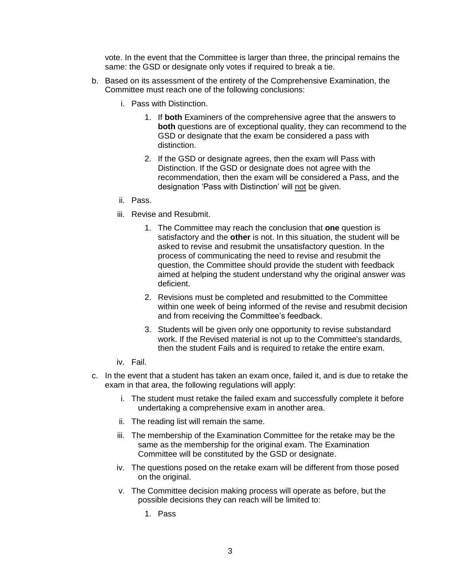vote. In the event that the Committee is larger than three, the principal remains the same: the GSD or designate only votes if required to break a tie.

- b. Based on its assessment of the entirety of the Comprehensive Examination, the Committee must reach one of the following conclusions:
	- i. Pass with Distinction.
		- 1. If **both** Examiners of the comprehensive agree that the answers to **both** questions are of exceptional quality, they can recommend to the GSD or designate that the exam be considered a pass with distinction.
		- 2. If the GSD or designate agrees, then the exam will Pass with Distinction. If the GSD or designate does not agree with the recommendation, then the exam will be considered a Pass, and the designation "Pass with Distinction" will not be given.
	- ii. Pass.
	- iii. Revise and Resubmit.
		- 1. The Committee may reach the conclusion that **one** question is satisfactory and the **other** is not. In this situation, the student will be asked to revise and resubmit the unsatisfactory question. In the process of communicating the need to revise and resubmit the question, the Committee should provide the student with feedback aimed at helping the student understand why the original answer was deficient.
		- 2. Revisions must be completed and resubmitted to the Committee within one week of being informed of the revise and resubmit decision and from receiving the Committee"s feedback.
		- 3. Students will be given only one opportunity to revise substandard work. If the Revised material is not up to the Committee's standards, then the student Fails and is required to retake the entire exam.
	- iv. Fail.
- c. In the event that a student has taken an exam once, failed it, and is due to retake the exam in that area, the following regulations will apply:
	- i. The student must retake the failed exam and successfully complete it before undertaking a comprehensive exam in another area.
	- ii. The reading list will remain the same.
	- iii. The membership of the Examination Committee for the retake may be the same as the membership for the original exam. The Examination Committee will be constituted by the GSD or designate.
	- iv. The questions posed on the retake exam will be different from those posed on the original.
	- v. The Committee decision making process will operate as before, but the possible decisions they can reach will be limited to:
		- 1. Pass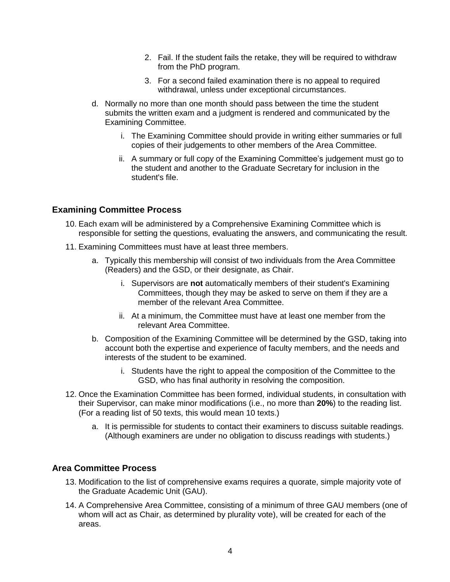- 2. Fail. If the student fails the retake, they will be required to withdraw from the PhD program.
- 3. For a second failed examination there is no appeal to required withdrawal, unless under exceptional circumstances.
- d. Normally no more than one month should pass between the time the student submits the written exam and a judgment is rendered and communicated by the Examining Committee.
	- i. The Examining Committee should provide in writing either summaries or full copies of their judgements to other members of the Area Committee.
	- ii. A summary or full copy of the Examining Committee's judgement must go to the student and another to the Graduate Secretary for inclusion in the student's file.

## **Examining Committee Process**

- 10. Each exam will be administered by a Comprehensive Examining Committee which is responsible for setting the questions, evaluating the answers, and communicating the result.
- 11. Examining Committees must have at least three members.
	- a. Typically this membership will consist of two individuals from the Area Committee (Readers) and the GSD, or their designate, as Chair.
		- i. Supervisors are **not** automatically members of their student's Examining Committees, though they may be asked to serve on them if they are a member of the relevant Area Committee.
		- ii. At a minimum, the Committee must have at least one member from the relevant Area Committee.
	- b. Composition of the Examining Committee will be determined by the GSD, taking into account both the expertise and experience of faculty members, and the needs and interests of the student to be examined.
		- i. Students have the right to appeal the composition of the Committee to the GSD, who has final authority in resolving the composition.
- 12. Once the Examination Committee has been formed, individual students, in consultation with their Supervisor, can make minor modifications (i.e., no more than **20%**) to the reading list. (For a reading list of 50 texts, this would mean 10 texts.)
	- a. It is permissible for students to contact their examiners to discuss suitable readings. (Although examiners are under no obligation to discuss readings with students.)

## **Area Committee Process**

- 13. Modification to the list of comprehensive exams requires a quorate, simple majority vote of the Graduate Academic Unit (GAU).
- 14. A Comprehensive Area Committee, consisting of a minimum of three GAU members (one of whom will act as Chair, as determined by plurality vote), will be created for each of the areas.